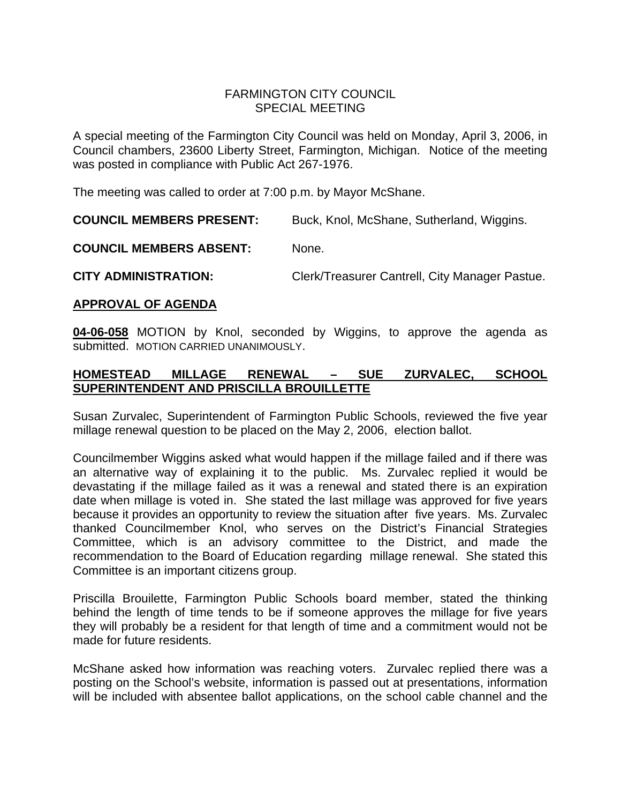# FARMINGTON CITY COUNCIL SPECIAL MEETING

A special meeting of the Farmington City Council was held on Monday, April 3, 2006, in Council chambers, 23600 Liberty Street, Farmington, Michigan. Notice of the meeting was posted in compliance with Public Act 267-1976.

The meeting was called to order at 7:00 p.m. by Mayor McShane.

**COUNCIL MEMBERS PRESENT:** Buck, Knol, McShane, Sutherland, Wiggins.

**COUNCIL MEMBERS ABSENT:** None.

**CITY ADMINISTRATION:** Clerk/Treasurer Cantrell, City Manager Pastue.

#### **APPROVAL OF AGENDA**

**04-06-058** MOTION by Knol, seconded by Wiggins, to approve the agenda as submitted. MOTION CARRIED UNANIMOUSLY.

# **HOMESTEAD MILLAGE RENEWAL – SUE ZURVALEC, SCHOOL SUPERINTENDENT AND PRISCILLA BROUILLETTE**

Susan Zurvalec, Superintendent of Farmington Public Schools, reviewed the five year millage renewal question to be placed on the May 2, 2006, election ballot.

Councilmember Wiggins asked what would happen if the millage failed and if there was an alternative way of explaining it to the public. Ms. Zurvalec replied it would be devastating if the millage failed as it was a renewal and stated there is an expiration date when millage is voted in. She stated the last millage was approved for five years because it provides an opportunity to review the situation after five years. Ms. Zurvalec thanked Councilmember Knol, who serves on the District's Financial Strategies Committee, which is an advisory committee to the District, and made the recommendation to the Board of Education regarding millage renewal. She stated this Committee is an important citizens group.

Priscilla Brouilette, Farmington Public Schools board member, stated the thinking behind the length of time tends to be if someone approves the millage for five years they will probably be a resident for that length of time and a commitment would not be made for future residents.

McShane asked how information was reaching voters. Zurvalec replied there was a posting on the School's website, information is passed out at presentations, information will be included with absentee ballot applications, on the school cable channel and the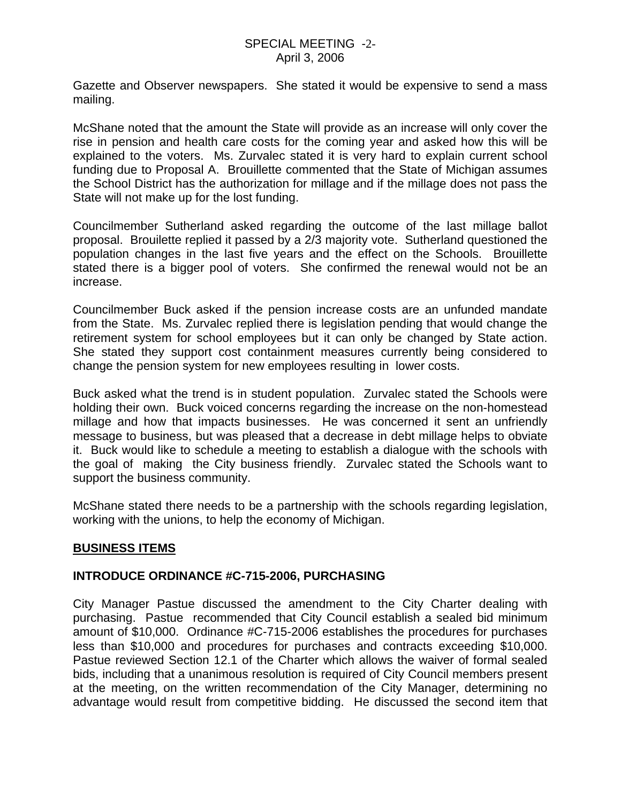Gazette and Observer newspapers. She stated it would be expensive to send a mass mailing.

McShane noted that the amount the State will provide as an increase will only cover the rise in pension and health care costs for the coming year and asked how this will be explained to the voters. Ms. Zurvalec stated it is very hard to explain current school funding due to Proposal A. Brouillette commented that the State of Michigan assumes the School District has the authorization for millage and if the millage does not pass the State will not make up for the lost funding.

Councilmember Sutherland asked regarding the outcome of the last millage ballot proposal. Brouilette replied it passed by a 2/3 majority vote. Sutherland questioned the population changes in the last five years and the effect on the Schools. Brouillette stated there is a bigger pool of voters. She confirmed the renewal would not be an increase.

Councilmember Buck asked if the pension increase costs are an unfunded mandate from the State. Ms. Zurvalec replied there is legislation pending that would change the retirement system for school employees but it can only be changed by State action. She stated they support cost containment measures currently being considered to change the pension system for new employees resulting in lower costs.

Buck asked what the trend is in student population. Zurvalec stated the Schools were holding their own. Buck voiced concerns regarding the increase on the non-homestead millage and how that impacts businesses. He was concerned it sent an unfriendly message to business, but was pleased that a decrease in debt millage helps to obviate it. Buck would like to schedule a meeting to establish a dialogue with the schools with the goal of making the City business friendly. Zurvalec stated the Schools want to support the business community.

McShane stated there needs to be a partnership with the schools regarding legislation, working with the unions, to help the economy of Michigan.

## **BUSINESS ITEMS**

## **INTRODUCE ORDINANCE #C-715-2006, PURCHASING**

City Manager Pastue discussed the amendment to the City Charter dealing with purchasing. Pastue recommended that City Council establish a sealed bid minimum amount of \$10,000. Ordinance #C-715-2006 establishes the procedures for purchases less than \$10,000 and procedures for purchases and contracts exceeding \$10,000. Pastue reviewed Section 12.1 of the Charter which allows the waiver of formal sealed bids, including that a unanimous resolution is required of City Council members present at the meeting, on the written recommendation of the City Manager, determining no advantage would result from competitive bidding. He discussed the second item that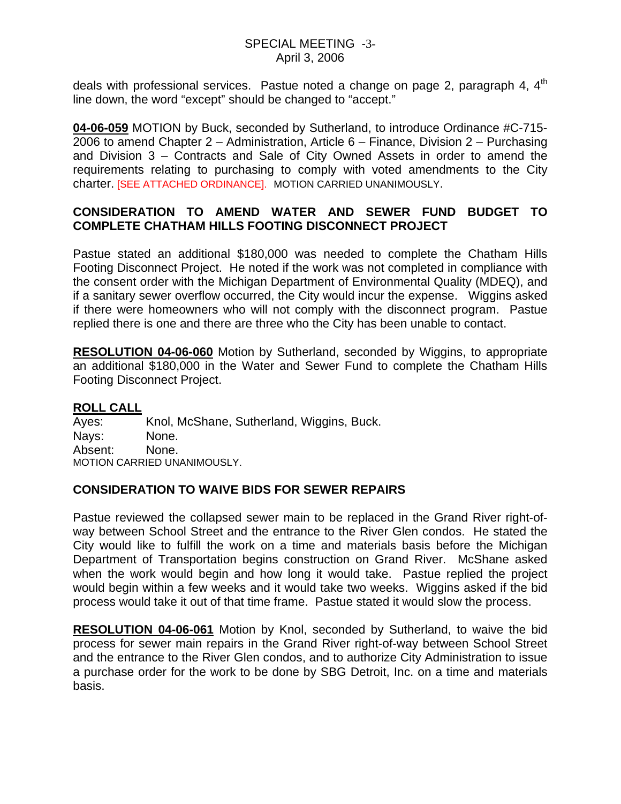### SPECIAL MEETING -3- April 3, 2006

deals with professional services. Pastue noted a change on page 2, paragraph 4,  $4<sup>th</sup>$ line down, the word "except" should be changed to "accept."

**04-06-059** MOTION by Buck, seconded by Sutherland, to introduce Ordinance #C-715- 2006 to amend Chapter 2 – Administration, Article 6 – Finance, Division 2 – Purchasing and Division 3 – Contracts and Sale of City Owned Assets in order to amend the requirements relating to purchasing to comply with voted amendments to the City charter. [SEE ATTACHED ORDINANCE]. MOTION CARRIED UNANIMOUSLY.

# **CONSIDERATION TO AMEND WATER AND SEWER FUND BUDGET TO COMPLETE CHATHAM HILLS FOOTING DISCONNECT PROJECT**

Pastue stated an additional \$180,000 was needed to complete the Chatham Hills Footing Disconnect Project. He noted if the work was not completed in compliance with the consent order with the Michigan Department of Environmental Quality (MDEQ), and if a sanitary sewer overflow occurred, the City would incur the expense. Wiggins asked if there were homeowners who will not comply with the disconnect program. Pastue replied there is one and there are three who the City has been unable to contact.

**RESOLUTION 04-06-060** Motion by Sutherland, seconded by Wiggins, to appropriate an additional \$180,000 in the Water and Sewer Fund to complete the Chatham Hills Footing Disconnect Project.

## **ROLL CALL**

Ayes: Knol, McShane, Sutherland, Wiggins, Buck. Nays: None. Absent: None. MOTION CARRIED UNANIMOUSLY.

## **CONSIDERATION TO WAIVE BIDS FOR SEWER REPAIRS**

Pastue reviewed the collapsed sewer main to be replaced in the Grand River right-ofway between School Street and the entrance to the River Glen condos. He stated the City would like to fulfill the work on a time and materials basis before the Michigan Department of Transportation begins construction on Grand River. McShane asked when the work would begin and how long it would take. Pastue replied the project would begin within a few weeks and it would take two weeks. Wiggins asked if the bid process would take it out of that time frame. Pastue stated it would slow the process.

**RESOLUTION 04-06-061** Motion by Knol, seconded by Sutherland, to waive the bid process for sewer main repairs in the Grand River right-of-way between School Street and the entrance to the River Glen condos, and to authorize City Administration to issue a purchase order for the work to be done by SBG Detroit, Inc. on a time and materials basis.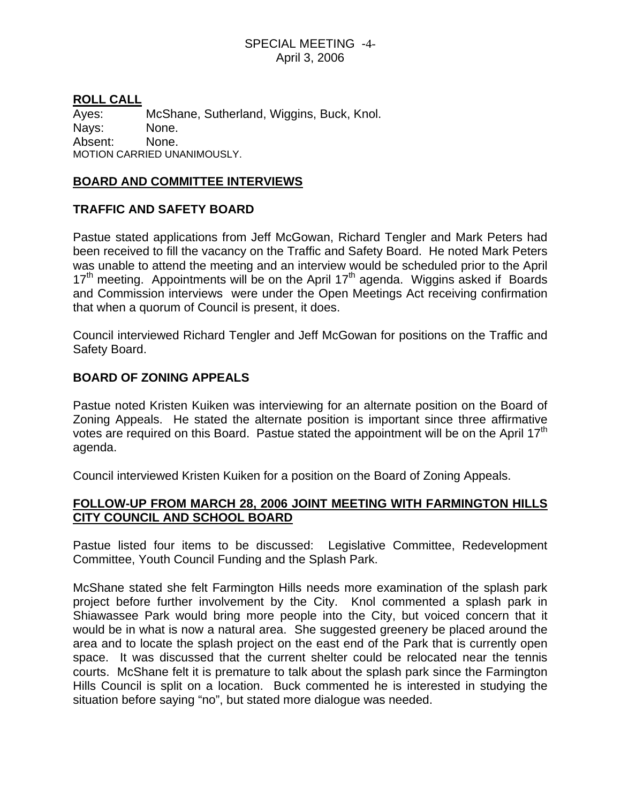### SPECIAL MEETING -4- April 3, 2006

### **ROLL CALL**

Ayes: McShane, Sutherland, Wiggins, Buck, Knol. Nays: None. Absent: None. MOTION CARRIED UNANIMOUSLY.

#### **BOARD AND COMMITTEE INTERVIEWS**

## **TRAFFIC AND SAFETY BOARD**

Pastue stated applications from Jeff McGowan, Richard Tengler and Mark Peters had been received to fill the vacancy on the Traffic and Safety Board. He noted Mark Peters was unable to attend the meeting and an interview would be scheduled prior to the April  $17<sup>th</sup>$  meeting. Appointments will be on the April  $17<sup>th</sup>$  agenda. Wiggins asked if Boards and Commission interviews were under the Open Meetings Act receiving confirmation that when a quorum of Council is present, it does.

Council interviewed Richard Tengler and Jeff McGowan for positions on the Traffic and Safety Board.

## **BOARD OF ZONING APPEALS**

Pastue noted Kristen Kuiken was interviewing for an alternate position on the Board of Zoning Appeals. He stated the alternate position is important since three affirmative votes are required on this Board. Pastue stated the appointment will be on the April 17<sup>th</sup> agenda.

Council interviewed Kristen Kuiken for a position on the Board of Zoning Appeals.

# **FOLLOW-UP FROM MARCH 28, 2006 JOINT MEETING WITH FARMINGTON HILLS CITY COUNCIL AND SCHOOL BOARD**

Pastue listed four items to be discussed: Legislative Committee, Redevelopment Committee, Youth Council Funding and the Splash Park.

McShane stated she felt Farmington Hills needs more examination of the splash park project before further involvement by the City. Knol commented a splash park in Shiawassee Park would bring more people into the City, but voiced concern that it would be in what is now a natural area. She suggested greenery be placed around the area and to locate the splash project on the east end of the Park that is currently open space. It was discussed that the current shelter could be relocated near the tennis courts. McShane felt it is premature to talk about the splash park since the Farmington Hills Council is split on a location. Buck commented he is interested in studying the situation before saying "no", but stated more dialogue was needed.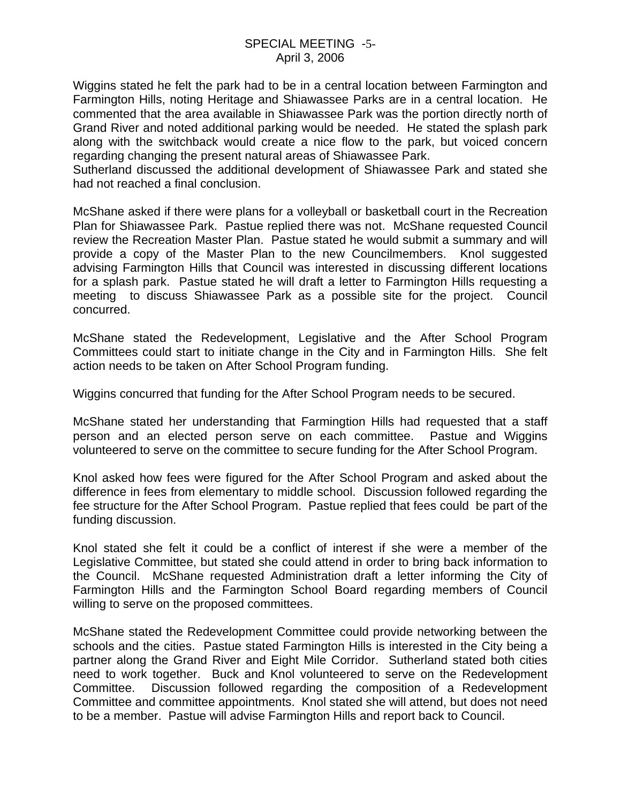Wiggins stated he felt the park had to be in a central location between Farmington and Farmington Hills, noting Heritage and Shiawassee Parks are in a central location. He commented that the area available in Shiawassee Park was the portion directly north of Grand River and noted additional parking would be needed. He stated the splash park along with the switchback would create a nice flow to the park, but voiced concern regarding changing the present natural areas of Shiawassee Park.

Sutherland discussed the additional development of Shiawassee Park and stated she had not reached a final conclusion.

McShane asked if there were plans for a volleyball or basketball court in the Recreation Plan for Shiawassee Park. Pastue replied there was not. McShane requested Council review the Recreation Master Plan. Pastue stated he would submit a summary and will provide a copy of the Master Plan to the new Councilmembers. Knol suggested advising Farmington Hills that Council was interested in discussing different locations for a splash park. Pastue stated he will draft a letter to Farmington Hills requesting a meeting to discuss Shiawassee Park as a possible site for the project. Council concurred.

McShane stated the Redevelopment, Legislative and the After School Program Committees could start to initiate change in the City and in Farmington Hills. She felt action needs to be taken on After School Program funding.

Wiggins concurred that funding for the After School Program needs to be secured.

McShane stated her understanding that Farmingtion Hills had requested that a staff person and an elected person serve on each committee. Pastue and Wiggins volunteered to serve on the committee to secure funding for the After School Program.

Knol asked how fees were figured for the After School Program and asked about the difference in fees from elementary to middle school. Discussion followed regarding the fee structure for the After School Program. Pastue replied that fees could be part of the funding discussion.

Knol stated she felt it could be a conflict of interest if she were a member of the Legislative Committee, but stated she could attend in order to bring back information to the Council. McShane requested Administration draft a letter informing the City of Farmington Hills and the Farmington School Board regarding members of Council willing to serve on the proposed committees.

McShane stated the Redevelopment Committee could provide networking between the schools and the cities. Pastue stated Farmington Hills is interested in the City being a partner along the Grand River and Eight Mile Corridor. Sutherland stated both cities need to work together. Buck and Knol volunteered to serve on the Redevelopment Committee. Discussion followed regarding the composition of a Redevelopment Committee and committee appointments. Knol stated she will attend, but does not need to be a member. Pastue will advise Farmington Hills and report back to Council.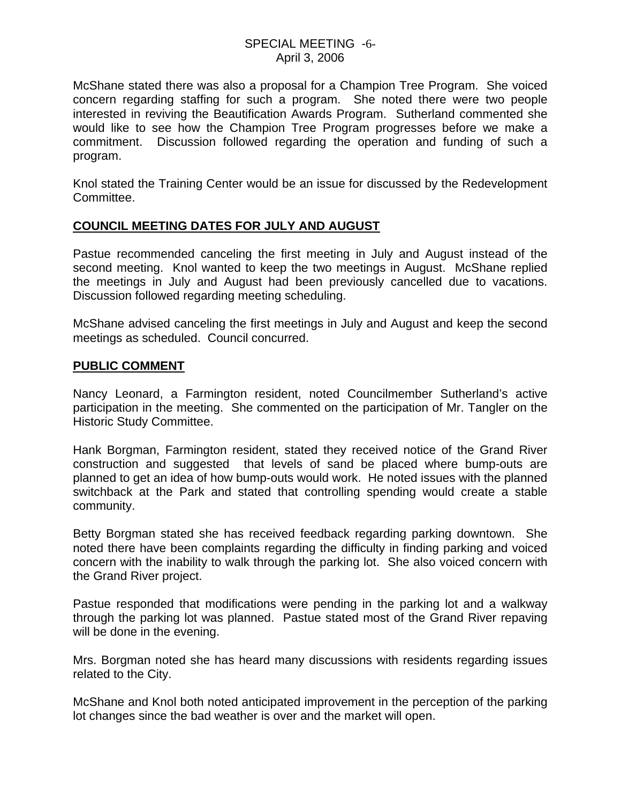#### SPECIAL MEETING -6- April 3, 2006

McShane stated there was also a proposal for a Champion Tree Program. She voiced concern regarding staffing for such a program. She noted there were two people interested in reviving the Beautification Awards Program. Sutherland commented she would like to see how the Champion Tree Program progresses before we make a commitment. Discussion followed regarding the operation and funding of such a program.

Knol stated the Training Center would be an issue for discussed by the Redevelopment Committee.

## **COUNCIL MEETING DATES FOR JULY AND AUGUST**

Pastue recommended canceling the first meeting in July and August instead of the second meeting. Knol wanted to keep the two meetings in August. McShane replied the meetings in July and August had been previously cancelled due to vacations. Discussion followed regarding meeting scheduling.

McShane advised canceling the first meetings in July and August and keep the second meetings as scheduled. Council concurred.

#### **PUBLIC COMMENT**

Nancy Leonard, a Farmington resident, noted Councilmember Sutherland's active participation in the meeting. She commented on the participation of Mr. Tangler on the Historic Study Committee.

Hank Borgman, Farmington resident, stated they received notice of the Grand River construction and suggested that levels of sand be placed where bump-outs are planned to get an idea of how bump-outs would work. He noted issues with the planned switchback at the Park and stated that controlling spending would create a stable community.

Betty Borgman stated she has received feedback regarding parking downtown. She noted there have been complaints regarding the difficulty in finding parking and voiced concern with the inability to walk through the parking lot. She also voiced concern with the Grand River project.

Pastue responded that modifications were pending in the parking lot and a walkway through the parking lot was planned. Pastue stated most of the Grand River repaving will be done in the evening.

Mrs. Borgman noted she has heard many discussions with residents regarding issues related to the City.

McShane and Knol both noted anticipated improvement in the perception of the parking lot changes since the bad weather is over and the market will open.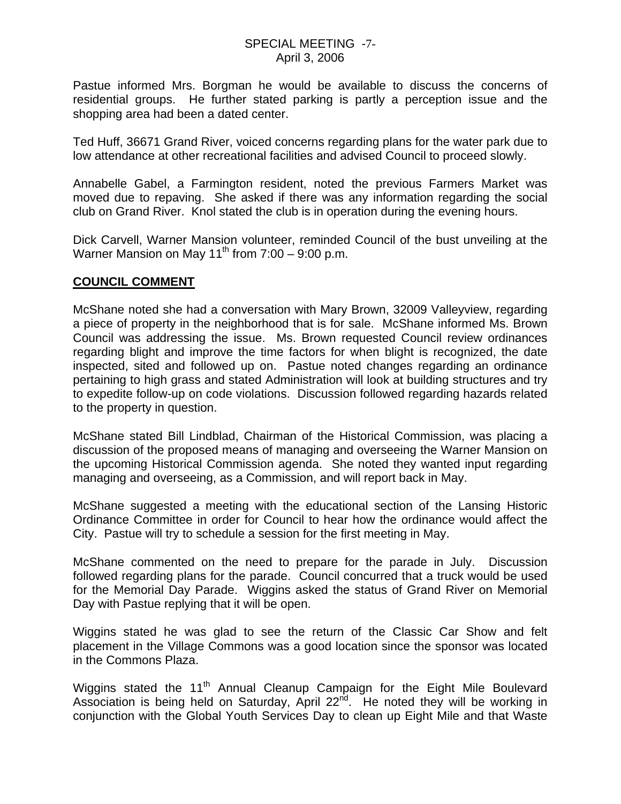Pastue informed Mrs. Borgman he would be available to discuss the concerns of residential groups. He further stated parking is partly a perception issue and the shopping area had been a dated center.

Ted Huff, 36671 Grand River, voiced concerns regarding plans for the water park due to low attendance at other recreational facilities and advised Council to proceed slowly.

Annabelle Gabel, a Farmington resident, noted the previous Farmers Market was moved due to repaving. She asked if there was any information regarding the social club on Grand River. Knol stated the club is in operation during the evening hours.

Dick Carvell, Warner Mansion volunteer, reminded Council of the bust unveiling at the Warner Mansion on May 11<sup>th</sup> from  $7:00 - 9:00$  p.m.

#### **COUNCIL COMMENT**

McShane noted she had a conversation with Mary Brown, 32009 Valleyview, regarding a piece of property in the neighborhood that is for sale. McShane informed Ms. Brown Council was addressing the issue. Ms. Brown requested Council review ordinances regarding blight and improve the time factors for when blight is recognized, the date inspected, sited and followed up on. Pastue noted changes regarding an ordinance pertaining to high grass and stated Administration will look at building structures and try to expedite follow-up on code violations. Discussion followed regarding hazards related to the property in question.

McShane stated Bill Lindblad, Chairman of the Historical Commission, was placing a discussion of the proposed means of managing and overseeing the Warner Mansion on the upcoming Historical Commission agenda. She noted they wanted input regarding managing and overseeing, as a Commission, and will report back in May.

McShane suggested a meeting with the educational section of the Lansing Historic Ordinance Committee in order for Council to hear how the ordinance would affect the City. Pastue will try to schedule a session for the first meeting in May.

McShane commented on the need to prepare for the parade in July. Discussion followed regarding plans for the parade. Council concurred that a truck would be used for the Memorial Day Parade. Wiggins asked the status of Grand River on Memorial Day with Pastue replying that it will be open.

Wiggins stated he was glad to see the return of the Classic Car Show and felt placement in the Village Commons was a good location since the sponsor was located in the Commons Plaza.

Wiggins stated the 11<sup>th</sup> Annual Cleanup Campaign for the Eight Mile Boulevard Association is being held on Saturday, April  $22^{nd}$ . He noted they will be working in conjunction with the Global Youth Services Day to clean up Eight Mile and that Waste